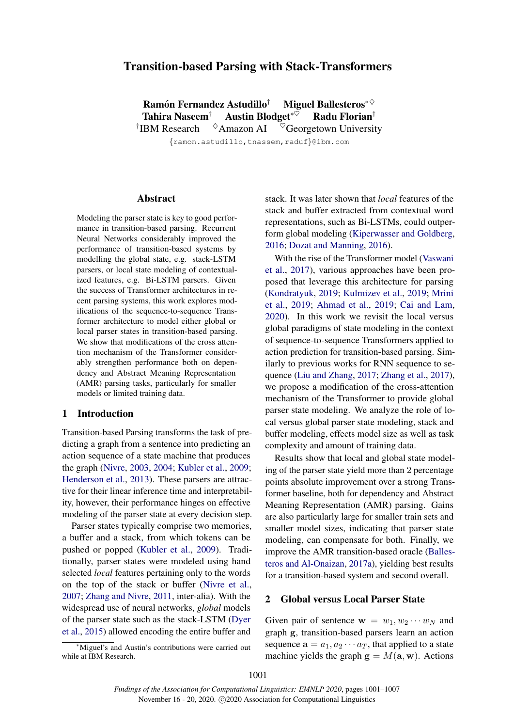# Transition-based Parsing with Stack-Transformers

Ramón Fernandez Astudillo<sup>†</sup> Miguel Ballesteros<sup>∗◇</sup> Tahira Naseem<sup>†</sup> Austin Blodget<sup>∗♡</sup> Radu Florian<sup>†</sup> <sup>†</sup>IBM Research  $\Diamond$ Amazon AI  $\degree$ Georgetown University

{ramon.astudillo,tnassem,raduf}@ibm.com

#### Abstract

Modeling the parser state is key to good performance in transition-based parsing. Recurrent Neural Networks considerably improved the performance of transition-based systems by modelling the global state, e.g. stack-LSTM parsers, or local state modeling of contextualized features, e.g. Bi-LSTM parsers. Given the success of Transformer architectures in recent parsing systems, this work explores modifications of the sequence-to-sequence Transformer architecture to model either global or local parser states in transition-based parsing. We show that modifications of the cross attention mechanism of the Transformer considerably strengthen performance both on dependency and Abstract Meaning Representation (AMR) parsing tasks, particularly for smaller models or limited training data[.](#page-0-0)

### 1 Introduction

Transition-based Parsing transforms the task of predicting a graph from a sentence into predicting an action sequence of a state machine that produces the graph [\(Nivre,](#page-6-0) [2003,](#page-6-0) [2004;](#page-6-1) [Kubler et al.,](#page-5-0) [2009;](#page-5-0) [Henderson et al.,](#page-5-1) [2013\)](#page-5-1). These parsers are attractive for their linear inference time and interpretability, however, their performance hinges on effective modeling of the parser state at every decision step.

Parser states typically comprise two memories, a buffer and a stack, from which tokens can be pushed or popped [\(Kubler et al.,](#page-5-0) [2009\)](#page-5-0). Traditionally, parser states were modeled using hand selected *local* features pertaining only to the words on the top of the stack or buffer [\(Nivre et al.,](#page-6-2) [2007;](#page-6-2) [Zhang and Nivre,](#page-6-3) [2011,](#page-6-3) inter-alia). With the widespread use of neural networks, *global* models of the parser state such as the stack-LSTM [\(Dyer](#page-5-2) [et al.,](#page-5-2) [2015\)](#page-5-2) allowed encoding the entire buffer and

<span id="page-0-0"></span><sup>∗</sup>Miguel's and Austin's contributions were carried out while at IBM Research.

stack. It was later shown that *local* features of the stack and buffer extracted from contextual word representations, such as Bi-LSTMs, could outperform global modeling [\(Kiperwasser and Goldberg,](#page-5-3) [2016;](#page-5-3) [Dozat and Manning,](#page-5-4) [2016\)](#page-5-4).

With the rise of the Transformer model [\(Vaswani](#page-6-4) [et al.,](#page-6-4) [2017\)](#page-6-4), various approaches have been proposed that leverage this architecture for parsing [\(Kondratyuk,](#page-5-5) [2019;](#page-5-5) [Kulmizev et al.,](#page-5-6) [2019;](#page-5-6) [Mrini](#page-6-5) [et al.,](#page-6-5) [2019;](#page-6-5) [Ahmad et al.,](#page-5-7) [2019;](#page-5-7) [Cai and Lam,](#page-5-8) [2020\)](#page-5-8). In this work we revisit the local versus global paradigms of state modeling in the context of sequence-to-sequence Transformers applied to action prediction for transition-based parsing. Similarly to previous works for RNN sequence to se-quence [\(Liu and Zhang,](#page-6-6) [2017;](#page-6-6) [Zhang et al.,](#page-6-7) [2017\)](#page-6-7). we propose a modification of the cross-attention mechanism of the Transformer to provide global parser state modeling. We analyze the role of local versus global parser state modeling, stack and buffer modeling, effects model size as well as task complexity and amount of training data.

Results show that local and global state modeling of the parser state yield more than 2 percentage points absolute improvement over a strong Transformer baseline, both for dependency and Abstract Meaning Representation (AMR) parsing. Gains are also particularly large for smaller train sets and smaller model sizes, indicating that parser state modeling, can compensate for both. Finally, we improve the AMR transition-based oracle [\(Balles](#page-5-9)[teros and Al-Onaizan,](#page-5-9) [2017a\)](#page-5-9), yielding best results for a transition-based system and second overall.

# 2 Global versus Local Parser State

Given pair of sentence  $\mathbf{w} = w_1, w_2 \cdots w_N$  and graph g, transition-based parsers learn an action sequence  $\mathbf{a} = a_1, a_2 \cdots a_T$ , that applied to a state machine yields the graph  $\mathbf{g} = M(\mathbf{a}, \mathbf{w})$ . Actions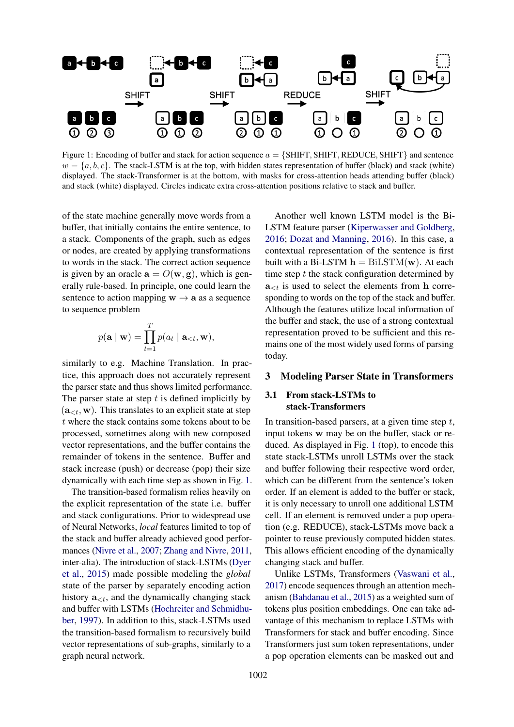<span id="page-1-0"></span>

Figure 1: Encoding of buffer and stack for action sequence  $a = \{SHIFT, SHIFT, REDUCE, SHIFT\}$  and sentence  $w = \{a, b, c\}$ . The stack-LSTM is at the top, with hidden states representation of buffer (black) and stack (white) displayed. The stack-Transformer is at the bottom, with masks for cross-attention heads attending buffer (black) and stack (white) displayed. Circles indicate extra cross-attention positions relative to stack and buffer.

of the state machine generally move words from a buffer, that initially contains the entire sentence, to a stack. Components of the graph, such as edges or nodes, are created by applying transformations to words in the stack. The correct action sequence is given by an oracle  $\mathbf{a} = O(\mathbf{w}, \mathbf{g})$ , which is generally rule-based. In principle, one could learn the sentence to action mapping  $w \rightarrow a$  as a sequence to sequence problem

$$
p(\mathbf{a} \mid \mathbf{w}) = \prod_{t=1}^{T} p(a_t \mid \mathbf{a}_{\lt t}, \mathbf{w}),
$$

similarly to e.g. Machine Translation. In practice, this approach does not accurately represent the parser state and thus shows limited performance. The parser state at step  $t$  is defined implicitly by  $(a_{\leq t}, w)$ . This translates to an explicit state at step t where the stack contains some tokens about to be processed, sometimes along with new composed vector representations, and the buffer contains the remainder of tokens in the sentence. Buffer and stack increase (push) or decrease (pop) their size dynamically with each time step as shown in Fig. [1.](#page-1-0)

The transition-based formalism relies heavily on the explicit representation of the state i.e. buffer and stack configurations. Prior to widespread use of Neural Networks, *local* features limited to top of the stack and buffer already achieved good performances [\(Nivre et al.,](#page-6-2) [2007;](#page-6-2) [Zhang and Nivre,](#page-6-3) [2011,](#page-6-3) inter-alia). The introduction of stack-LSTMs [\(Dyer](#page-5-2) [et al.,](#page-5-2) [2015\)](#page-5-2) made possible modeling the *global* state of the parser by separately encoding action history  $a_{\leq t}$ , and the dynamically changing stack and buffer with LSTMs [\(Hochreiter and Schmidhu](#page-5-10)[ber,](#page-5-10) [1997\)](#page-5-10). In addition to this, stack-LSTMs used the transition-based formalism to recursively build vector representations of sub-graphs, similarly to a graph neural network.

Another well known LSTM model is the Bi-LSTM feature parser [\(Kiperwasser and Goldberg,](#page-5-3) [2016;](#page-5-3) [Dozat and Manning,](#page-5-4) [2016\)](#page-5-4). In this case, a contextual representation of the sentence is first built with a Bi-LSTM  $h = \text{BiLSTM}(\mathbf{w})$ . At each time step  $t$  the stack configuration determined by  $a_{< t}$  is used to select the elements from h corresponding to words on the top of the stack and buffer. Although the features utilize local information of the buffer and stack, the use of a strong contextual representation proved to be sufficient and this remains one of the most widely used forms of parsing today.

# 3 Modeling Parser State in Transformers

# 3.1 From stack-LSTMs to stack-Transformers

In transition-based parsers, at a given time step  $t$ , input tokens w may be on the buffer, stack or reduced. As displayed in Fig. [1](#page-1-0) (top), to encode this state stack-LSTMs unroll LSTMs over the stack and buffer following their respective word order, which can be different from the sentence's token order. If an element is added to the buffer or stack, it is only necessary to unroll one additional LSTM cell. If an element is removed under a pop operation (e.g. REDUCE), stack-LSTMs move back a pointer to reuse previously computed hidden states. This allows efficient encoding of the dynamically changing stack and buffer.

Unlike LSTMs, Transformers [\(Vaswani et al.,](#page-6-4) [2017\)](#page-6-4) encode sequences through an attention mechanism [\(Bahdanau et al.,](#page-5-11) [2015\)](#page-5-11) as a weighted sum of tokens plus position embeddings. One can take advantage of this mechanism to replace LSTMs with Transformers for stack and buffer encoding. Since Transformers just sum token representations, under a pop operation elements can be masked out and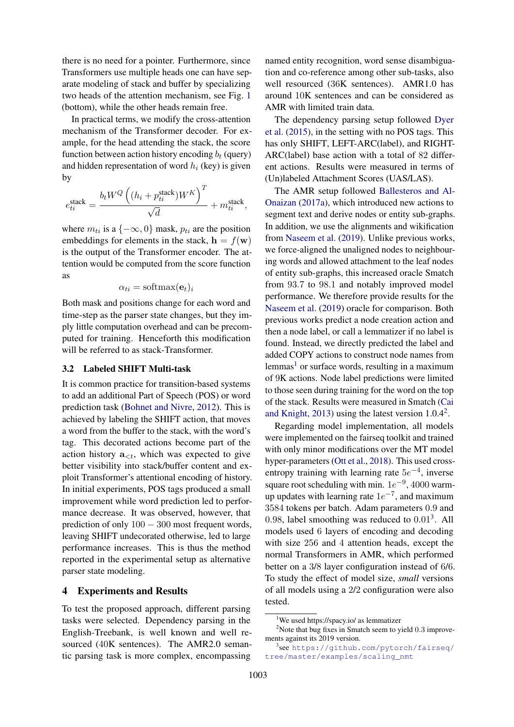there is no need for a pointer. Furthermore, since Transformers use multiple heads one can have separate modeling of stack and buffer by specializing two heads of the attention mechanism, see Fig. [1](#page-1-0) (bottom), while the other heads remain free.

In practical terms, we modify the cross-attention mechanism of the Transformer decoder. For example, for the head attending the stack, the score function between action history encoding  $b_t$  (query) and hidden representation of word  $h_i$  (key) is given by

$$
e^{\text{stack}}_{ti} = \frac{b_t W^Q \left((h_i + p^{\text{stack}}_{ti}) W^K \right)^T}{\sqrt{d}} + m^{\text{stack}}_{ti},
$$

where  $m_{ti}$  is a  $\{-\infty, 0\}$  mask,  $p_{ti}$  are the position embeddings for elements in the stack,  $\mathbf{h} = f(\mathbf{w})$ is the output of the Transformer encoder. The attention would be computed from the score function as

$$
\alpha_{ti} = \text{softmax}(\mathbf{e}_t)_i
$$

Both mask and positions change for each word and time-step as the parser state changes, but they imply little computation overhead and can be precomputed for training. Henceforth this modification will be referred to as stack-Transformer.

#### 3.2 Labeled SHIFT Multi-task

It is common practice for transition-based systems to add an additional Part of Speech (POS) or word prediction task [\(Bohnet and Nivre,](#page-5-12) [2012\)](#page-5-12). This is achieved by labeling the SHIFT action, that moves a word from the buffer to the stack, with the word's tag. This decorated actions become part of the action history  $a_{\leq t}$ , which was expected to give better visibility into stack/buffer content and exploit Transformer's attentional encoding of history. In initial experiments, POS tags produced a small improvement while word prediction led to performance decrease. It was observed, however, that prediction of only  $100 - 300$  most frequent words, leaving SHIFT undecorated otherwise, led to large performance increases. This is thus the method reported in the experimental setup as alternative parser state modeling.

## 4 Experiments and Results

To test the proposed approach, different parsing tasks were selected. Dependency parsing in the English-Treebank, is well known and well resourced (40K sentences). The AMR2.0 semantic parsing task is more complex, encompassing

named entity recognition, word sense disambiguation and co-reference among other sub-tasks, also well resourced (36K sentences). AMR1.0 has around 10K sentences and can be considered as AMR with limited train data.

The dependency parsing setup followed [Dyer](#page-5-2) [et al.](#page-5-2) [\(2015\)](#page-5-2), in the setting with no POS tags. This has only SHIFT, LEFT-ARC(label), and RIGHT-ARC(label) base action with a total of 82 different actions. Results were measured in terms of (Un)labeled Attachment Scores (UAS/LAS).

The AMR setup followed [Ballesteros and Al-](#page-5-9)[Onaizan](#page-5-9) [\(2017a\)](#page-5-9), which introduced new actions to segment text and derive nodes or entity sub-graphs. In addition, we use the alignments and wikification from [Naseem et al.](#page-6-8) [\(2019\)](#page-6-8). Unlike previous works, we force-aligned the unaligned nodes to neighbouring words and allowed attachment to the leaf nodes of entity sub-graphs, this increased oracle Smatch from 93.7 to 98.1 and notably improved model performance. We therefore provide results for the [Naseem et al.](#page-6-8) [\(2019\)](#page-6-8) oracle for comparison. Both previous works predict a node creation action and then a node label, or call a lemmatizer if no label is found. Instead, we directly predicted the label and added COPY actions to construct node names from lemmas<sup>[1](#page-2-0)</sup> or surface words, resulting in a maximum of 9K actions. Node label predictions were limited to those seen during training for the word on the top of the stack. Results were measured in Smatch [\(Cai](#page-5-13) [and Knight,](#page-5-13) [2013\)](#page-5-13) using the latest version 1.0.4[2](#page-2-1) .

Regarding model implementation, all models were implemented on the fairseq toolkit and trained with only minor modifications over the MT model hyper-parameters [\(Ott et al.,](#page-6-9) [2018\)](#page-6-9). This used crossentropy training with learning rate  $5e^{-4}$ , inverse square root scheduling with min.  $1e^{-9}$ , 4000 warmup updates with learning rate  $1e^{-7}$ , and maximum 3584 tokens per batch. Adam parameters 0.9 and 0.98, label smoothing was reduced to  $0.01<sup>3</sup>$  $0.01<sup>3</sup>$  $0.01<sup>3</sup>$ . All models used 6 layers of encoding and decoding with size 256 and 4 attention heads, except the normal Transformers in AMR, which performed better on a 3/8 layer configuration instead of 6/6. To study the effect of model size, *small* versions of all models using a 2/2 configuration were also tested.

<span id="page-2-1"></span><span id="page-2-0"></span><sup>&</sup>lt;sup>1</sup>We used https://spacy.io/ as lemmatizer

<sup>&</sup>lt;sup>2</sup>Note that bug fixes in Smatch seem to yield 0.3 improvements against its 2019 version.

<span id="page-2-2"></span><sup>3</sup> see [https://github.com/pytorch/fairseq/](https://github.com/pytorch/fairseq/tree/master/examples/scaling_nmt) [tree/master/examples/scaling\\_nmt](https://github.com/pytorch/fairseq/tree/master/examples/scaling_nmt)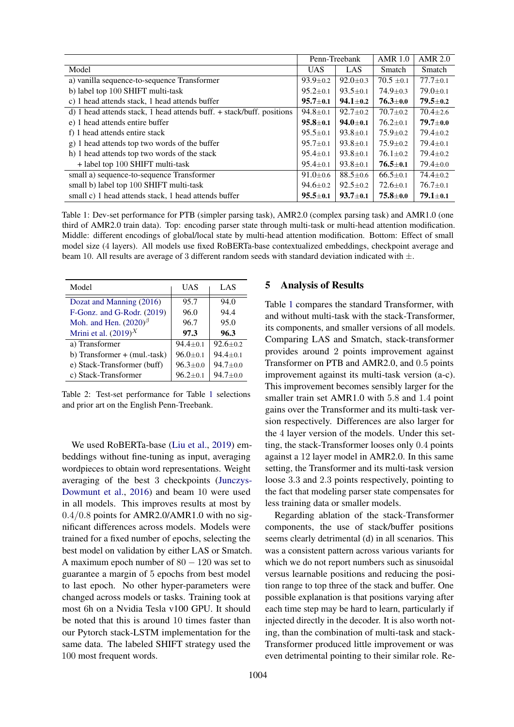<span id="page-3-0"></span>

|                                                                       | Penn-Treebank  |                | <b>AMR 1.0</b> | <b>AMR 2.0</b> |
|-----------------------------------------------------------------------|----------------|----------------|----------------|----------------|
| Model                                                                 | <b>UAS</b>     | LAS            | <b>Smatch</b>  | Smatch         |
| a) vanilla sequence-to-sequence Transformer                           | $93.9 \pm 0.2$ | $92.0 \pm 0.3$ | $70.5 \pm 0.1$ | $77.7 \pm 0.1$ |
| b) label top 100 SHIFT multi-task                                     | $95.2 \pm 0.1$ | $93.5 \pm 0.1$ | $74.9 \pm 0.3$ | $79.0 \pm 0.1$ |
| c) 1 head attends stack, 1 head attends buffer                        | $95.7 + 0.1$   | $94.1 \pm 0.2$ | $76.3 \pm 0.0$ | $79.5 \pm 0.2$ |
| d) 1 head attends stack, 1 head attends buff. + stack/buff. positions | $94.8 \pm 0.1$ | $92.7 \pm 0.2$ | $70.7 \pm 0.2$ | $70.4 + 2.6$   |
| e) 1 head attends entire buffer                                       | $95.8 \pm 0.1$ | $94.0 \pm 0.1$ | $76.2 + 0.1$   | $79.7 + 0.0$   |
| f) 1 head attends entire stack                                        | $95.5 \pm 0.1$ | $93.8 \pm 0.1$ | $75.9 \pm 0.2$ | $79.4 + 0.2$   |
| g) 1 head attends top two words of the buffer                         | $95.7 \pm 0.1$ | $93.8 \pm 0.1$ | $75.9 \pm 0.2$ | $79.4 \pm 0.1$ |
| h) 1 head attends top two words of the stack                          | $95.4 \pm 0.1$ | $93.8 \pm 0.1$ | $76.1 \pm 0.2$ | $79.4 \pm 0.2$ |
| + label top 100 SHIFT multi-task                                      | $95.4 \pm 0.1$ | $93.8 \pm 0.1$ | $76.5 \pm 0.1$ | $79.4 \pm 0.0$ |
| small a) sequence-to-sequence Transformer                             | $91.0 \pm 0.6$ | $88.5 \pm 0.6$ | $66.5 \pm 0.1$ | $74.4 \pm 0.2$ |
| small b) label top 100 SHIFT multi-task                               | $94.6 \pm 0.2$ | $92.5 \pm 0.2$ | $72.6 \pm 0.1$ | $76.7 + 0.1$   |
| small c) 1 head attends stack, 1 head attends buffer                  | $95.5 \pm 0.1$ | $93.7 \pm 0.1$ | $75.8 \pm 0.0$ | $79.1 \pm 0.1$ |

Table 1: Dev-set performance for PTB (simpler parsing task), AMR2.0 (complex parsing task) and AMR1.0 (one third of AMR2.0 train data). Top: encoding parser state through multi-task or multi-head attention modification. Middle: different encodings of global/local state by multi-head attention modification. Bottom: Effect of small model size (4 layers). All models use fixed RoBERTa-base contextualized embeddings, checkpoint average and beam 10. All results are average of 3 different random seeds with standard deviation indicated with  $\pm$ .

<span id="page-3-1"></span>

| Model                                                | UAS            | LAS            |
|------------------------------------------------------|----------------|----------------|
| Dozat and Manning (2016)                             | 95.7           | 94.0           |
| F-Gonz. and G-Rodr. (2019)                           | 96.0           | 94.4           |
| Moh. and Hen. $(2020)$ <sup><math>\beta</math></sup> | 96.7           | 95.0           |
| Mrini et al. $(2019)^X$                              | 97.3           | 96.3           |
| a) Transformer                                       | $94.4 + 0.1$   | $92.6 + 0.2$   |
| b) Transformer $+$ (mul.-task)                       | $96.0 + 0.1$   | $94.4 + 0.1$   |
| e) Stack-Transformer (buff)                          | $96.3 \pm 0.0$ | $94.7 + 0.0$   |
| c) Stack-Transformer                                 | $96.2 + 0.1$   | $94.7 \pm 0.0$ |

Table 2: Test-set performance for Table [1](#page-3-0) selections and prior art on the English Penn-Treebank.

We used RoBERTa-base [\(Liu et al.,](#page-6-11) [2019\)](#page-6-11) embeddings without fine-tuning as input, averaging wordpieces to obtain word representations. Weight averaging of the best 3 checkpoints [\(Junczys-](#page-5-15)[Dowmunt et al.,](#page-5-15) [2016\)](#page-5-15) and beam 10 were used in all models. This improves results at most by 0.4/0.8 points for AMR2.0/AMR1.0 with no significant differences across models. Models were trained for a fixed number of epochs, selecting the best model on validation by either LAS or Smatch. A maximum epoch number of  $80 - 120$  was set to guarantee a margin of 5 epochs from best model to last epoch. No other hyper-parameters were changed across models or tasks. Training took at most 6h on a Nvidia Tesla v100 GPU. It should be noted that this is around 10 times faster than our Pytorch stack-LSTM implementation for the same data. The labeled SHIFT strategy used the 100 most frequent words.

#### 5 Analysis of Results

Table [1](#page-3-0) compares the standard Transformer, with and without multi-task with the stack-Transformer, its components, and smaller versions of all models. Comparing LAS and Smatch, stack-transformer provides around 2 points improvement against Transformer on PTB and AMR2.0, and 0.5 points improvement against its multi-task version (a-c). This improvement becomes sensibly larger for the smaller train set AMR1.0 with 5.8 and 1.4 point gains over the Transformer and its multi-task version respectively. Differences are also larger for the 4 layer version of the models. Under this setting, the stack-Transformer looses only 0.4 points against a 12 layer model in AMR2.0. In this same setting, the Transformer and its multi-task version loose 3.3 and 2.3 points respectively, pointing to the fact that modeling parser state compensates for less training data or smaller models.

Regarding ablation of the stack-Transformer components, the use of stack/buffer positions seems clearly detrimental (d) in all scenarios. This was a consistent pattern across various variants for which we do not report numbers such as sinusoidal versus learnable positions and reducing the position range to top three of the stack and buffer. One possible explanation is that positions varying after each time step may be hard to learn, particularly if injected directly in the decoder. It is also worth noting, than the combination of multi-task and stack-Transformer produced little improvement or was even detrimental pointing to their similar role. Re-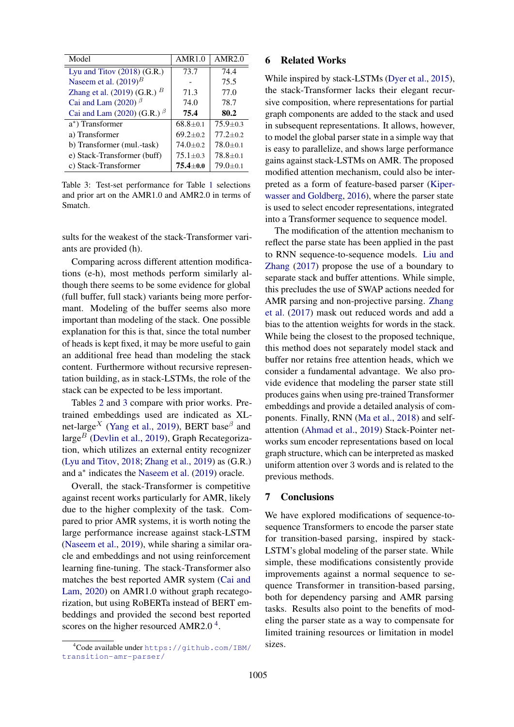<span id="page-4-0"></span>

| Model                             | AMR1.0         | AMR2.0         |
|-----------------------------------|----------------|----------------|
| Lyu and Titov $(2018)$ $(G.R.)$   | 73.7           | 74.4           |
| Naseem et al. $(2019)^B$          |                | 75.5           |
| Zhang et al. $(2019)$ (G.R.) $^B$ | 71.3           | 77.0           |
| Cai and Lam (2020) $\beta$        | 74.0           | 78.7           |
| Cai and Lam (2020) (G.R.) $\beta$ | 75.4           | 80.2           |
| a*) Transformer                   | $68.8 \pm 0.1$ | $75.9 + 0.3$   |
| a) Transformer                    | $69.2 \pm 0.2$ | $77.2 + 0.2$   |
| b) Transformer (mul.-task)        | $74.0 \pm 0.2$ | $78.0 \pm 0.1$ |
| e) Stack-Transformer (buff)       | $75.1 + 0.3$   | $78.8 + 0.1$   |
| c) Stack-Transformer              | $75.4 \pm 0.0$ | $79.0 \pm 0.1$ |

Table 3: Test-set performance for Table [1](#page-3-0) selections and prior art on the AMR1.0 and AMR2.0 in terms of Smatch.

sults for the weakest of the stack-Transformer variants are provided (h).

Comparing across different attention modifications (e-h), most methods perform similarly although there seems to be some evidence for global (full buffer, full stack) variants being more performant. Modeling of the buffer seems also more important than modeling of the stack. One possible explanation for this is that, since the total number of heads is kept fixed, it may be more useful to gain an additional free head than modeling the stack content. Furthermore without recursive representation building, as in stack-LSTMs, the role of the stack can be expected to be less important.

Tables [2](#page-3-1) and [3](#page-4-0) compare with prior works. Pretrained embeddings used are indicated as XL-net-large<sup>X</sup> [\(Yang et al.,](#page-6-14) [2019\)](#page-6-14), BERT base<sup> $\beta$ </sup> and large<sup>B</sup> [\(Devlin et al.,](#page-5-16) [2019\)](#page-5-16), Graph Recategorization, which utilizes an external entity recognizer [\(Lyu and Titov,](#page-6-12) [2018;](#page-6-12) [Zhang et al.,](#page-6-13) [2019\)](#page-6-13) as (G.R.) and a<sup>∗</sup> indicates the [Naseem et al.](#page-6-8) [\(2019\)](#page-6-8) oracle.

Overall, the stack-Transformer is competitive against recent works particularly for AMR, likely due to the higher complexity of the task. Compared to prior AMR systems, it is worth noting the large performance increase against stack-LSTM [\(Naseem et al.,](#page-6-8) [2019\)](#page-6-8), while sharing a similar oracle and embeddings and not using reinforcement learning fine-tuning. The stack-Transformer also matches the best reported AMR system [\(Cai and](#page-5-8) [Lam,](#page-5-8) [2020\)](#page-5-8) on AMR1.0 without graph recategorization, but using RoBERTa instead of BERT embeddings and provided the second best reported scores on the higher resourced AMR2.0 $4$ .

#### 6 Related Works

While inspired by stack-LSTMs [\(Dyer et al.,](#page-5-2) [2015\)](#page-5-2), the stack-Transformer lacks their elegant recursive composition, where representations for partial graph components are added to the stack and used in subsequent representations. It allows, however, to model the global parser state in a simple way that is easy to parallelize, and shows large performance gains against stack-LSTMs on AMR. The proposed modified attention mechanism, could also be interpreted as a form of feature-based parser [\(Kiper](#page-5-3)[wasser and Goldberg,](#page-5-3) [2016\)](#page-5-3), where the parser state is used to select encoder representations, integrated into a Transformer sequence to sequence model.

The modification of the attention mechanism to reflect the parse state has been applied in the past to RNN sequence-to-sequence models. [Liu and](#page-6-6) [Zhang](#page-6-6) [\(2017\)](#page-6-6) propose the use of a boundary to separate stack and buffer attentions. While simple, this precludes the use of SWAP actions needed for AMR parsing and non-projective parsing. [Zhang](#page-6-7) [et al.](#page-6-7) [\(2017\)](#page-6-7) mask out reduced words and add a bias to the attention weights for words in the stack. While being the closest to the proposed technique, this method does not separately model stack and buffer nor retains free attention heads, which we consider a fundamental advantage. We also provide evidence that modeling the parser state still produces gains when using pre-trained Transformer embeddings and provide a detailed analysis of components. Finally, RNN [\(Ma et al.,](#page-6-15) [2018\)](#page-6-15) and selfattention [\(Ahmad et al.,](#page-5-7) [2019\)](#page-5-7) Stack-Pointer networks sum encoder representations based on local graph structure, which can be interpreted as masked uniform attention over 3 words and is related to the previous methods.

## 7 Conclusions

We have explored modifications of sequence-tosequence Transformers to encode the parser state for transition-based parsing, inspired by stack-LSTM's global modeling of the parser state. While simple, these modifications consistently provide improvements against a normal sequence to sequence Transformer in transition-based parsing, both for dependency parsing and AMR parsing tasks. Results also point to the benefits of modeling the parser state as a way to compensate for limited training resources or limitation in model sizes.

<span id="page-4-1"></span><sup>4</sup>Code available under [https://github.com/IBM/](https://github.com/IBM/transition-amr-parser/) [transition-amr-parser/](https://github.com/IBM/transition-amr-parser/)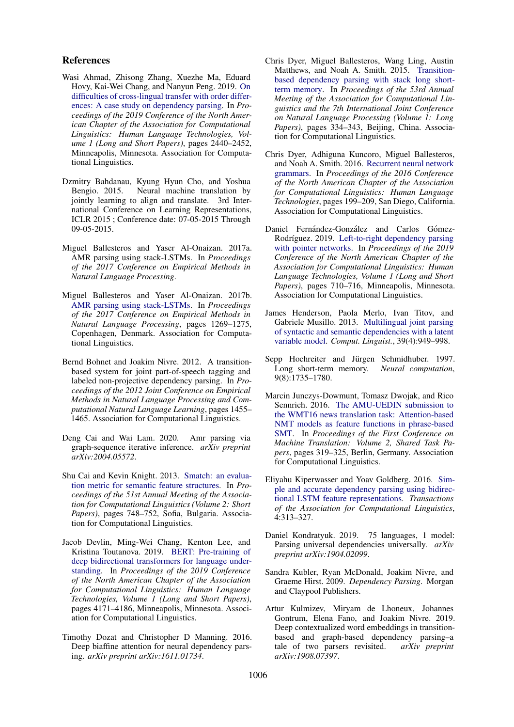### References

- <span id="page-5-7"></span>Wasi Ahmad, Zhisong Zhang, Xuezhe Ma, Eduard Hovy, Kai-Wei Chang, and Nanyun Peng. 2019. [On](https://doi.org/10.18653/v1/N19-1253) [difficulties of cross-lingual transfer with order differ](https://doi.org/10.18653/v1/N19-1253)[ences: A case study on dependency parsing.](https://doi.org/10.18653/v1/N19-1253) In *Proceedings of the 2019 Conference of the North American Chapter of the Association for Computational Linguistics: Human Language Technologies, Volume 1 (Long and Short Papers)*, pages 2440–2452, Minneapolis, Minnesota. Association for Computational Linguistics.
- <span id="page-5-11"></span>Dzmitry Bahdanau, Kyung Hyun Cho, and Yoshua Neural machine translation by jointly learning to align and translate. 3rd International Conference on Learning Representations, ICLR 2015 ; Conference date: 07-05-2015 Through 09-05-2015.
- <span id="page-5-9"></span>Miguel Ballesteros and Yaser Al-Onaizan. 2017a. AMR parsing using stack-LSTMs. In *Proceedings of the 2017 Conference on Empirical Methods in Natural Language Processing*.
- Miguel Ballesteros and Yaser Al-Onaizan. 2017b. [AMR parsing using stack-LSTMs.](https://doi.org/10.18653/v1/D17-1130) In *Proceedings of the 2017 Conference on Empirical Methods in Natural Language Processing*, pages 1269–1275, Copenhagen, Denmark. Association for Computational Linguistics.
- <span id="page-5-12"></span>Bernd Bohnet and Joakim Nivre. 2012. A transitionbased system for joint part-of-speech tagging and labeled non-projective dependency parsing. In *Proceedings of the 2012 Joint Conference on Empirical Methods in Natural Language Processing and Computational Natural Language Learning*, pages 1455– 1465. Association for Computational Linguistics.
- <span id="page-5-8"></span>Deng Cai and Wai Lam. 2020. Amr parsing via graph-sequence iterative inference. *arXiv preprint arXiv:2004.05572*.
- <span id="page-5-13"></span>Shu Cai and Kevin Knight. 2013. [Smatch: an evalua](https://www.aclweb.org/anthology/P13-2131)[tion metric for semantic feature structures.](https://www.aclweb.org/anthology/P13-2131) In *Proceedings of the 51st Annual Meeting of the Association for Computational Linguistics (Volume 2: Short Papers)*, pages 748–752, Sofia, Bulgaria. Association for Computational Linguistics.
- <span id="page-5-16"></span>Jacob Devlin, Ming-Wei Chang, Kenton Lee, and Kristina Toutanova. 2019. [BERT: Pre-training of](https://doi.org/10.18653/v1/N19-1423) [deep bidirectional transformers for language under](https://doi.org/10.18653/v1/N19-1423)[standing.](https://doi.org/10.18653/v1/N19-1423) In *Proceedings of the 2019 Conference of the North American Chapter of the Association for Computational Linguistics: Human Language Technologies, Volume 1 (Long and Short Papers)*, pages 4171–4186, Minneapolis, Minnesota. Association for Computational Linguistics.
- <span id="page-5-4"></span>Timothy Dozat and Christopher D Manning. 2016. Deep biaffine attention for neural dependency parsing. *arXiv preprint arXiv:1611.01734*.
- <span id="page-5-2"></span>Chris Dyer, Miguel Ballesteros, Wang Ling, Austin Matthews, and Noah A. Smith. 2015. [Transition](https://doi.org/10.3115/v1/P15-1033)[based dependency parsing with stack long short](https://doi.org/10.3115/v1/P15-1033)[term memory.](https://doi.org/10.3115/v1/P15-1033) In *Proceedings of the 53rd Annual Meeting of the Association for Computational Linguistics and the 7th International Joint Conference on Natural Language Processing (Volume 1: Long Papers)*, pages 334–343, Beijing, China. Association for Computational Linguistics.
- Chris Dyer, Adhiguna Kuncoro, Miguel Ballesteros, and Noah A. Smith. 2016. [Recurrent neural network](https://doi.org/10.18653/v1/N16-1024) [grammars.](https://doi.org/10.18653/v1/N16-1024) In *Proceedings of the 2016 Conference of the North American Chapter of the Association for Computational Linguistics: Human Language Technologies*, pages 199–209, San Diego, California. Association for Computational Linguistics.
- <span id="page-5-14"></span>Daniel Fernández-González and Carlos Gómez-Rodríguez. 2019. [Left-to-right dependency parsing](https://doi.org/10.18653/v1/N19-1076) [with pointer networks.](https://doi.org/10.18653/v1/N19-1076) In *Proceedings of the 2019 Conference of the North American Chapter of the Association for Computational Linguistics: Human Language Technologies, Volume 1 (Long and Short Papers)*, pages 710–716, Minneapolis, Minnesota. Association for Computational Linguistics.
- <span id="page-5-1"></span>James Henderson, Paola Merlo, Ivan Titov, and Gabriele Musillo. 2013. [Multilingual joint parsing](https://doi.org/10.1162/COLI_a_00158) [of syntactic and semantic dependencies with a latent](https://doi.org/10.1162/COLI_a_00158) [variable model.](https://doi.org/10.1162/COLI_a_00158) *Comput. Linguist.*, 39(4):949–998.
- <span id="page-5-10"></span>Sepp Hochreiter and Jürgen Schmidhuber. 1997. Long short-term memory. *Neural computation*, 9(8):1735–1780.
- <span id="page-5-15"></span>Marcin Junczys-Dowmunt, Tomasz Dwojak, and Rico Sennrich. 2016. [The AMU-UEDIN submission to](https://doi.org/10.18653/v1/W16-2316) [the WMT16 news translation task: Attention-based](https://doi.org/10.18653/v1/W16-2316) [NMT models as feature functions in phrase-based](https://doi.org/10.18653/v1/W16-2316) [SMT.](https://doi.org/10.18653/v1/W16-2316) In *Proceedings of the First Conference on Machine Translation: Volume 2, Shared Task Papers*, pages 319–325, Berlin, Germany. Association for Computational Linguistics.
- <span id="page-5-3"></span>Eliyahu Kiperwasser and Yoav Goldberg. 2016. [Sim](https://doi.org/10.1162/tacl_a_00101)[ple and accurate dependency parsing using bidirec](https://doi.org/10.1162/tacl_a_00101)[tional LSTM feature representations.](https://doi.org/10.1162/tacl_a_00101) *Transactions of the Association for Computational Linguistics*, 4:313–327.
- <span id="page-5-5"></span>Daniel Kondratyuk. 2019. 75 languages, 1 model: Parsing universal dependencies universally. *arXiv preprint arXiv:1904.02099*.
- <span id="page-5-0"></span>Sandra Kubler, Ryan McDonald, Joakim Nivre, and Graeme Hirst. 2009. *Dependency Parsing*. Morgan and Claypool Publishers.
- <span id="page-5-6"></span>Artur Kulmizev, Miryam de Lhoneux, Johannes Gontrum, Elena Fano, and Joakim Nivre. 2019. Deep contextualized word embeddings in transitionbased and graph-based dependency parsing–a tale of two parsers revisited. *arXiv preprint arXiv:1908.07397*.